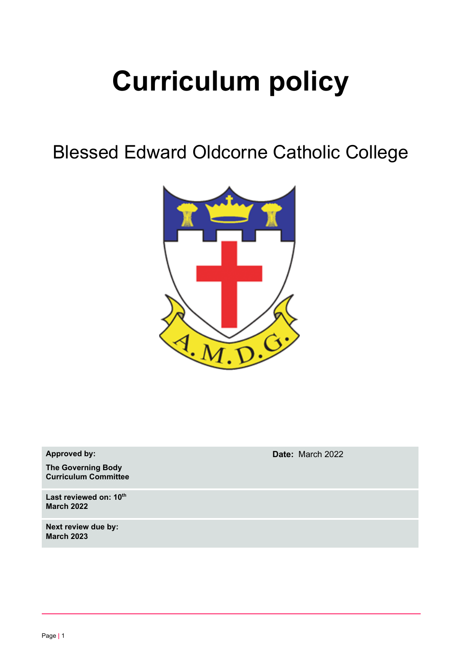# **Curriculum policy**

Blessed Edward Oldcorne Catholic College



**Approved by:**

**The Governing Body Curriculum Committee**

**Last reviewed on: 10 th March 2022**

**Next review due by: March 2023**

**Date:** March 2022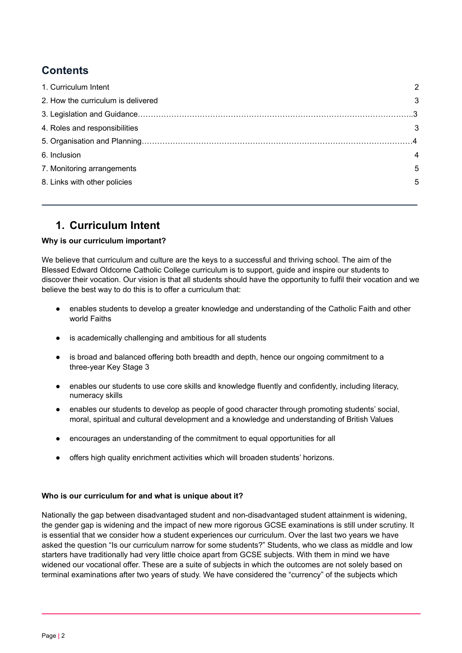# **Contents**

| 1. Curriculum Intent               | 2 |
|------------------------------------|---|
| 2. How the curriculum is delivered | 3 |
|                                    |   |
| 4. Roles and responsibilities      | 3 |
|                                    |   |
| 6. Inclusion                       | 4 |
| 7. Monitoring arrangements         | 5 |
| 8. Links with other policies       | 5 |
|                                    |   |

## <span id="page-1-0"></span>**1. Curriculum Intent**

#### **Why is our curriculum important?**

We believe that curriculum and culture are the keys to a successful and thriving school. The aim of the Blessed Edward Oldcorne Catholic College curriculum is to support, guide and inspire our students to discover their vocation. Our vision is that all students should have the opportunity to fulfil their vocation and we believe the best way to do this is to offer a curriculum that:

- enables students to develop a greater knowledge and understanding of the Catholic Faith and other world Faiths
- is academically challenging and ambitious for all students
- is broad and balanced offering both breadth and depth, hence our ongoing commitment to a three-year Key Stage 3
- enables our students to use core skills and knowledge fluently and confidently, including literacy, numeracy skills
- enables our students to develop as people of good character through promoting students' social, moral, spiritual and cultural development and a knowledge and understanding of British Values
- encourages an understanding of the commitment to equal opportunities for all
- offers high quality enrichment activities which will broaden students' horizons.

#### **Who is our curriculum for and what is unique about it?**

Nationally the gap between disadvantaged student and non-disadvantaged student attainment is widening, the gender gap is widening and the impact of new more rigorous GCSE examinations is still under scrutiny. It is essential that we consider how a student experiences our curriculum. Over the last two years we have asked the question "Is our curriculum narrow for some students?" Students, who we class as middle and low starters have traditionally had very little choice apart from GCSE subjects. With them in mind we have widened our vocational offer. These are a suite of subjects in which the outcomes are not solely based on terminal examinations after two years of study. We have considered the "currency" of the subjects which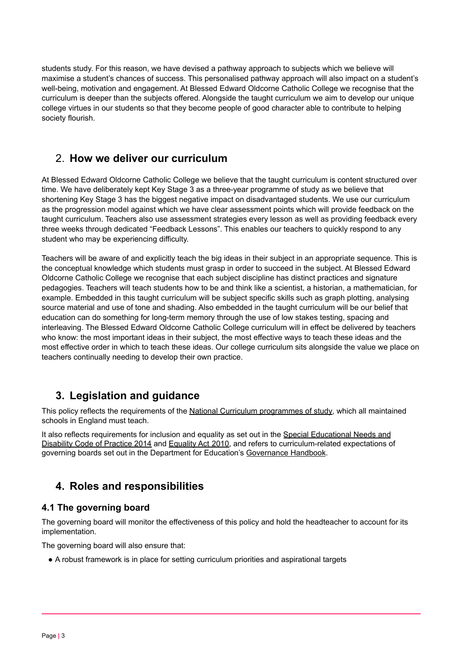students study. For this reason, we have devised a pathway approach to subjects which we believe will maximise a student's chances of success. This personalised pathway approach will also impact on a student's well-being, motivation and engagement. At Blessed Edward Oldcorne Catholic College we recognise that the curriculum is deeper than the subjects offered. Alongside the taught curriculum we aim to develop our unique college virtues in our students so that they become people of good character able to contribute to helping society flourish.

## 2. **How we deliver our curriculum**

At Blessed Edward Oldcorne Catholic College we believe that the taught curriculum is content structured over time. We have deliberately kept Key Stage 3 as a three-year programme of study as we believe that shortening Key Stage 3 has the biggest negative impact on disadvantaged students. We use our curriculum as the progression model against which we have clear assessment points which will provide feedback on the taught curriculum. Teachers also use assessment strategies every lesson as well as providing feedback every three weeks through dedicated "Feedback Lessons". This enables our teachers to quickly respond to any student who may be experiencing difficulty.

Teachers will be aware of and explicitly teach the big ideas in their subject in an appropriate sequence. This is the conceptual knowledge which students must grasp in order to succeed in the subject. At Blessed Edward Oldcorne Catholic College we recognise that each subject discipline has distinct practices and signature pedagogies. Teachers will teach students how to be and think like a scientist, a historian, a mathematician, for example. Embedded in this taught curriculum will be subject specific skills such as graph plotting, analysing source material and use of tone and shading. Also embedded in the taught curriculum will be our belief that education can do something for long-term memory through the use of low stakes testing, spacing and interleaving. The Blessed Edward Oldcorne Catholic College curriculum will in effect be delivered by teachers who know: the most important ideas in their subject, the most effective ways to teach these ideas and the most effective order in which to teach these ideas. Our college curriculum sits alongside the value we place on teachers continually needing to develop their own practice.

## <span id="page-2-0"></span>**3. Legislation and guidance**

This policy reflects the requirements of the National Curriculum [programmes](https://www.gov.uk/government/collections/national-curriculum) of study, which all maintained schools in England must teach.

<span id="page-2-1"></span>It also reflects requirements for inclusion and equality as set out in the Special [Educational](https://www.gov.uk/government/publications/send-code-of-practice-0-to-25) Needs and [Disability](https://www.gov.uk/government/publications/send-code-of-practice-0-to-25) Code of Practice 2014 and [Equality](http://www.legislation.gov.uk/ukpga/2010/15/part/6/chapter/1) Act 2010, and refers to curriculum-related expectations of governing boards set out in the Department for Education's [Governance](https://www.gov.uk/government/publications/governance-handbook) Handbook.

## **4. Roles and responsibilities**

## **4.1 The governing board**

The governing board will monitor the effectiveness of this policy and hold the headteacher to account for its implementation.

The governing board will also ensure that:

● A robust framework is in place for setting curriculum priorities and aspirational targets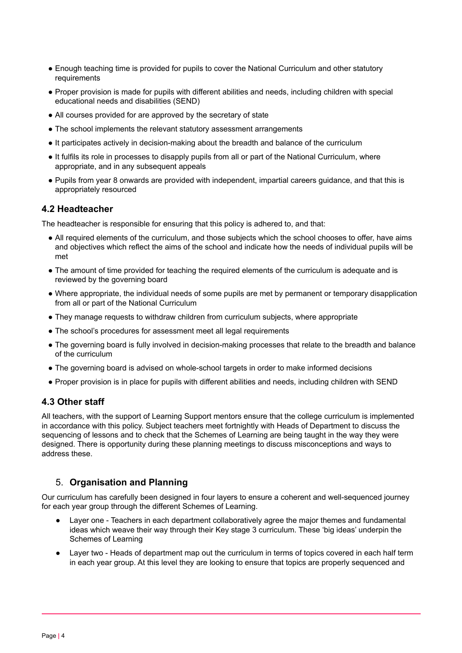- Enough teaching time is provided for pupils to cover the National Curriculum and other statutory requirements
- Proper provision is made for pupils with different abilities and needs, including children with special educational needs and disabilities (SEND)
- All courses provided for are approved by the secretary of state
- The school implements the relevant statutory assessment arrangements
- It participates actively in decision-making about the breadth and balance of the curriculum
- It fulfils its role in processes to disapply pupils from all or part of the National Curriculum, where appropriate, and in any subsequent appeals
- Pupils from year 8 onwards are provided with independent, impartial careers guidance, and that this is appropriately resourced

#### **4.2 Headteacher**

The headteacher is responsible for ensuring that this policy is adhered to, and that:

- All required elements of the curriculum, and those subjects which the school chooses to offer, have aims and objectives which reflect the aims of the school and indicate how the needs of individual pupils will be met
- The amount of time provided for teaching the required elements of the curriculum is adequate and is reviewed by the governing board
- Where appropriate, the individual needs of some pupils are met by permanent or temporary disapplication from all or part of the National Curriculum
- They manage requests to withdraw children from curriculum subjects, where appropriate
- The school's procedures for assessment meet all legal requirements
- The governing board is fully involved in decision-making processes that relate to the breadth and balance of the curriculum
- The governing board is advised on whole-school targets in order to make informed decisions
- Proper provision is in place for pupils with different abilities and needs, including children with SEND

## **4.3 Other staff**

All teachers, with the support of Learning Support mentors ensure that the college curriculum is implemented in accordance with this policy. Subject teachers meet fortnightly with Heads of Department to discuss the sequencing of lessons and to check that the Schemes of Learning are being taught in the way they were designed. There is opportunity during these planning meetings to discuss misconceptions and ways to address these.

## 5. **Organisation and Planning**

Our curriculum has carefully been designed in four layers to ensure a coherent and well-sequenced journey for each year group through the different Schemes of Learning.

- Layer one Teachers in each department collaboratively agree the major themes and fundamental ideas which weave their way through their Key stage 3 curriculum. These 'big ideas' underpin the Schemes of Learning
- Layer two Heads of department map out the curriculum in terms of topics covered in each half term in each year group. At this level they are looking to ensure that topics are properly sequenced and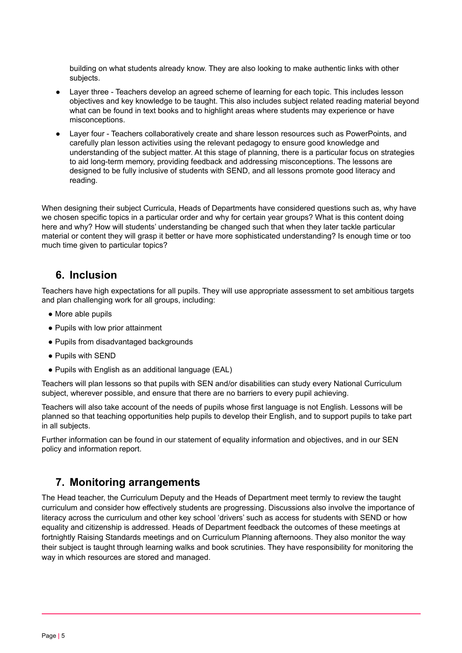building on what students already know. They are also looking to make authentic links with other subjects.

- Layer three Teachers develop an agreed scheme of learning for each topic. This includes lesson objectives and key knowledge to be taught. This also includes subject related reading material beyond what can be found in text books and to highlight areas where students may experience or have misconceptions.
- Layer four Teachers collaboratively create and share lesson resources such as PowerPoints, and carefully plan lesson activities using the relevant pedagogy to ensure good knowledge and understanding of the subject matter. At this stage of planning, there is a particular focus on strategies to aid long-term memory, providing feedback and addressing misconceptions. The lessons are designed to be fully inclusive of students with SEND, and all lessons promote good literacy and reading.

When designing their subject Curricula, Heads of Departments have considered questions such as, why have we chosen specific topics in a particular order and why for certain year groups? What is this content doing here and why? How will students' understanding be changed such that when they later tackle particular material or content they will grasp it better or have more sophisticated understanding? Is enough time or too much time given to particular topics?

## <span id="page-4-0"></span>**6. Inclusion**

Teachers have high expectations for all pupils. They will use appropriate assessment to set ambitious targets and plan challenging work for all groups, including:

- More able pupils
- Pupils with low prior attainment
- Pupils from disadvantaged backgrounds
- Pupils with SEND
- Pupils with English as an additional language (EAL)

Teachers will plan lessons so that pupils with SEN and/or disabilities can study every National Curriculum subject, wherever possible, and ensure that there are no barriers to every pupil achieving.

Teachers will also take account of the needs of pupils whose first language is not English. Lessons will be planned so that teaching opportunities help pupils to develop their English, and to support pupils to take part in all subjects.

<span id="page-4-1"></span>Further information can be found in our statement of equality information and objectives, and in our SEN policy and information report.

## **7. Monitoring arrangements**

The Head teacher, the Curriculum Deputy and the Heads of Department meet termly to review the taught curriculum and consider how effectively students are progressing. Discussions also involve the importance of literacy across the curriculum and other key school 'drivers' such as access for students with SEND or how equality and citizenship is addressed. Heads of Department feedback the outcomes of these meetings at fortnightly Raising Standards meetings and on Curriculum Planning afternoons. They also monitor the way their subject is taught through learning walks and book scrutinies. They have responsibility for monitoring the way in which resources are stored and managed.